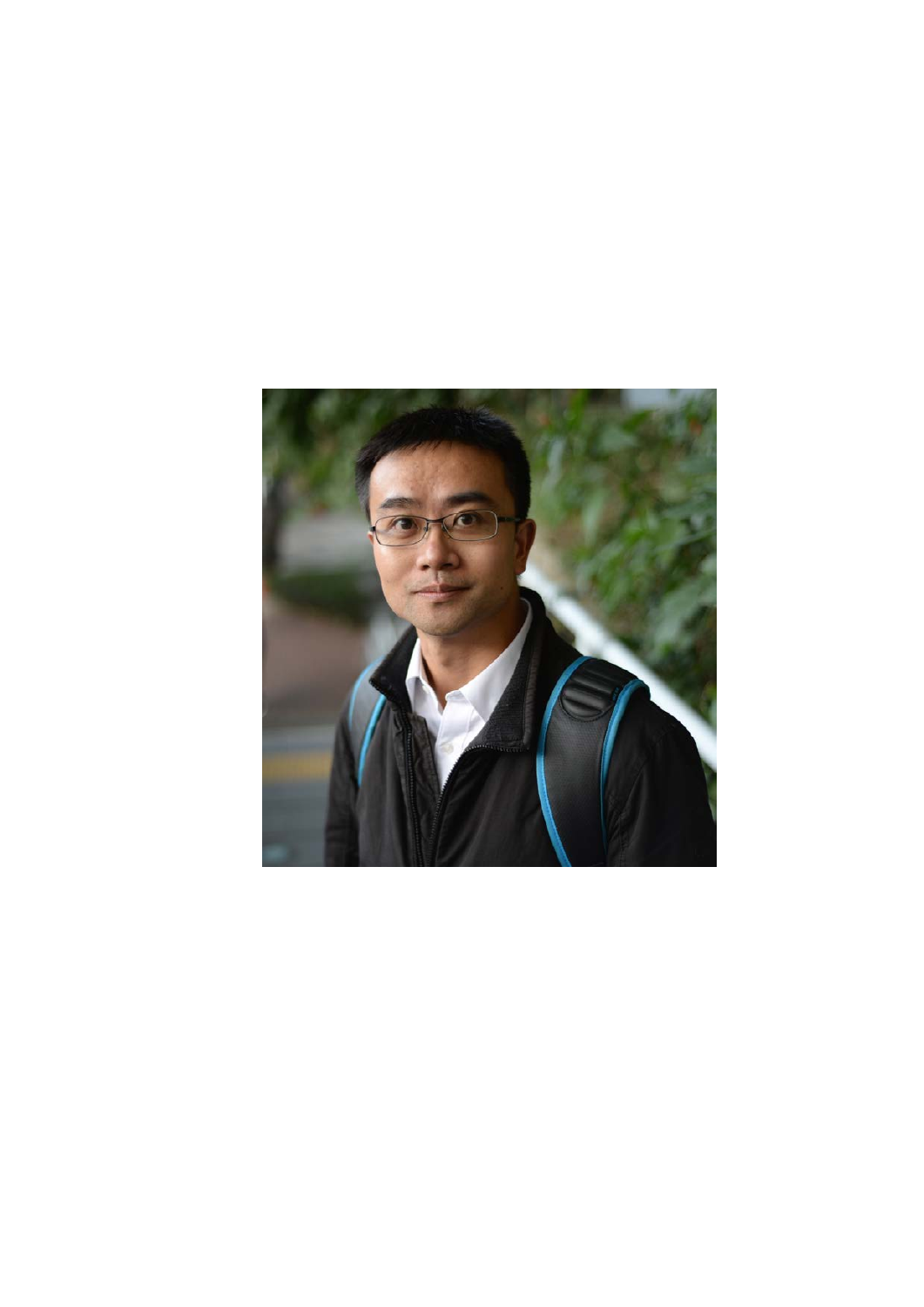